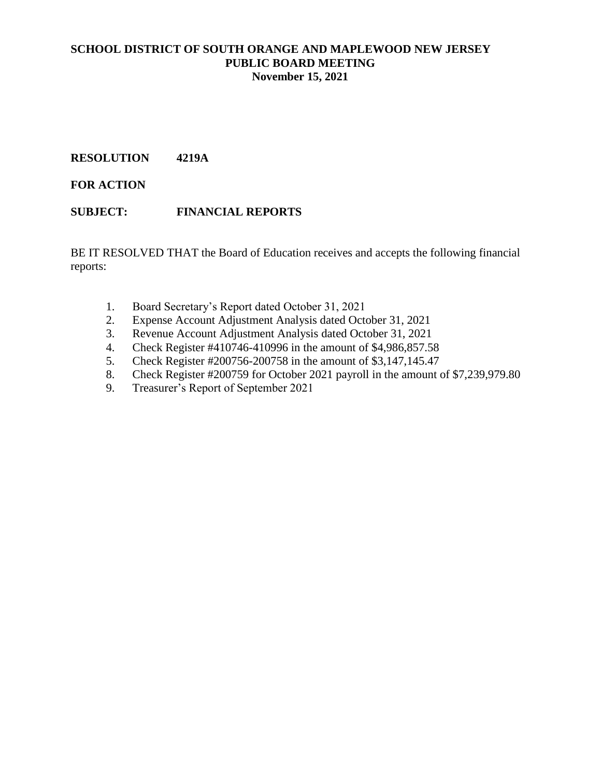# **RESOLUTION 4219A**

**FOR ACTION**

# **SUBJECT: FINANCIAL REPORTS**

BE IT RESOLVED THAT the Board of Education receives and accepts the following financial reports:

- 1. Board Secretary's Report dated October 31, 2021
- 2. Expense Account Adjustment Analysis dated October 31, 2021
- 3. Revenue Account Adjustment Analysis dated October 31, 2021
- 4. Check Register #410746-410996 in the amount of \$4,986,857.58
- 5. Check Register #200756-200758 in the amount of \$3,147,145.47
- 8. Check Register #200759 for October 2021 payroll in the amount of \$7,239,979.80
- 9. Treasurer's Report of September 2021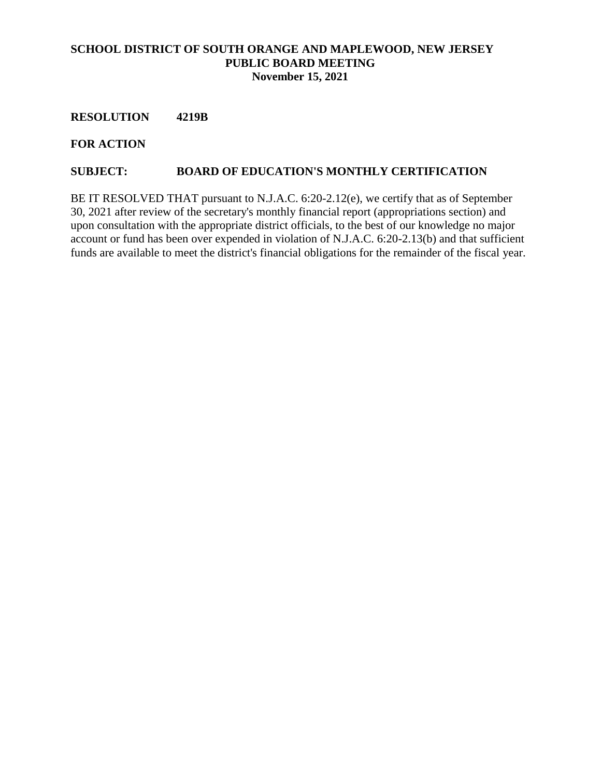### **RESOLUTION 4219B**

**FOR ACTION**

#### **SUBJECT: BOARD OF EDUCATION'S MONTHLY CERTIFICATION**

BE IT RESOLVED THAT pursuant to N.J.A.C. 6:20-2.12(e), we certify that as of September 30, 2021 after review of the secretary's monthly financial report (appropriations section) and upon consultation with the appropriate district officials, to the best of our knowledge no major account or fund has been over expended in violation of N.J.A.C. 6:20-2.13(b) and that sufficient funds are available to meet the district's financial obligations for the remainder of the fiscal year.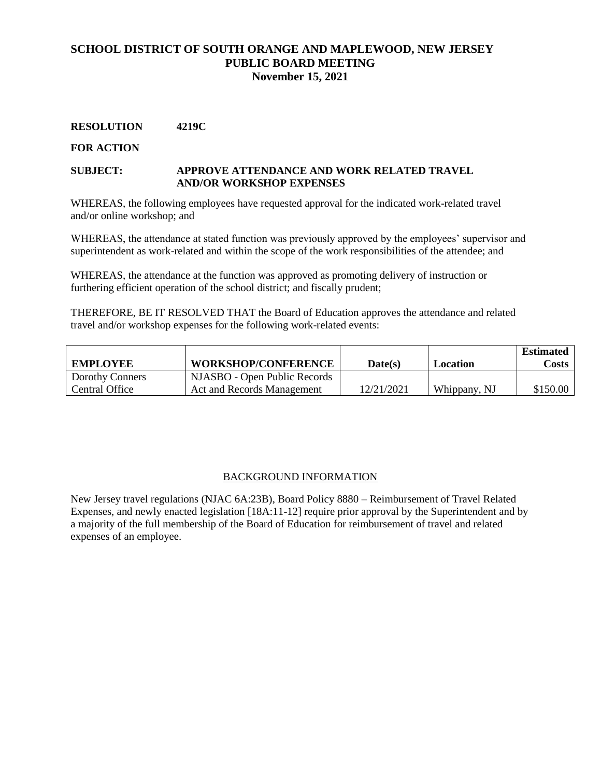#### **RESOLUTION 4219C**

#### **FOR ACTION**

#### **SUBJECT: APPROVE ATTENDANCE AND WORK RELATED TRAVEL AND/OR WORKSHOP EXPENSES**

WHEREAS, the following employees have requested approval for the indicated work-related travel and/or online workshop; and

WHEREAS, the attendance at stated function was previously approved by the employees' supervisor and superintendent as work-related and within the scope of the work responsibilities of the attendee; and

WHEREAS, the attendance at the function was approved as promoting delivery of instruction or furthering efficient operation of the school district; and fiscally prudent;

THEREFORE, BE IT RESOLVED THAT the Board of Education approves the attendance and related travel and/or workshop expenses for the following work-related events:

| <b>EMPLOYEE</b>        | <b>WORKSHOP/CONFERENCE</b>   | Date(s)    | Location     | <b>Estimated</b><br><b>Costs</b> 1 |
|------------------------|------------------------------|------------|--------------|------------------------------------|
| <b>Dorothy Conners</b> | NJASBO - Open Public Records |            |              |                                    |
| l Central Office       | Act and Records Management   | 12/21/2021 | Whippany, NJ | \$150.00                           |

#### BACKGROUND INFORMATION

New Jersey travel regulations (NJAC 6A:23B), Board Policy 8880 – Reimbursement of Travel Related Expenses, and newly enacted legislation [18A:11-12] require prior approval by the Superintendent and by a majority of the full membership of the Board of Education for reimbursement of travel and related expenses of an employee.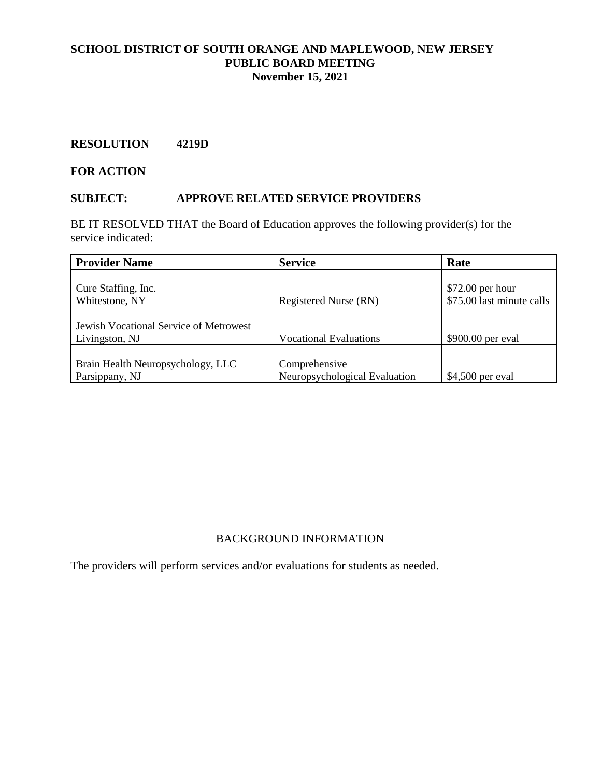### **RESOLUTION 4219D**

**FOR ACTION**

#### **SUBJECT: APPROVE RELATED SERVICE PROVIDERS**

BE IT RESOLVED THAT the Board of Education approves the following provider(s) for the service indicated:

| <b>Provider Name</b>                                     | <b>Service</b>                                 | Rate                                           |
|----------------------------------------------------------|------------------------------------------------|------------------------------------------------|
| Cure Staffing, Inc.<br>Whitestone, NY                    | Registered Nurse (RN)                          | $$72.00$ per hour<br>\$75.00 last minute calls |
| Jewish Vocational Service of Metrowest<br>Livingston, NJ | <b>Vocational Evaluations</b>                  | \$900.00 per eval                              |
| Brain Health Neuropsychology, LLC<br>Parsippany, NJ      | Comprehensive<br>Neuropsychological Evaluation | $$4,500$ per eval                              |

### BACKGROUND INFORMATION

The providers will perform services and/or evaluations for students as needed.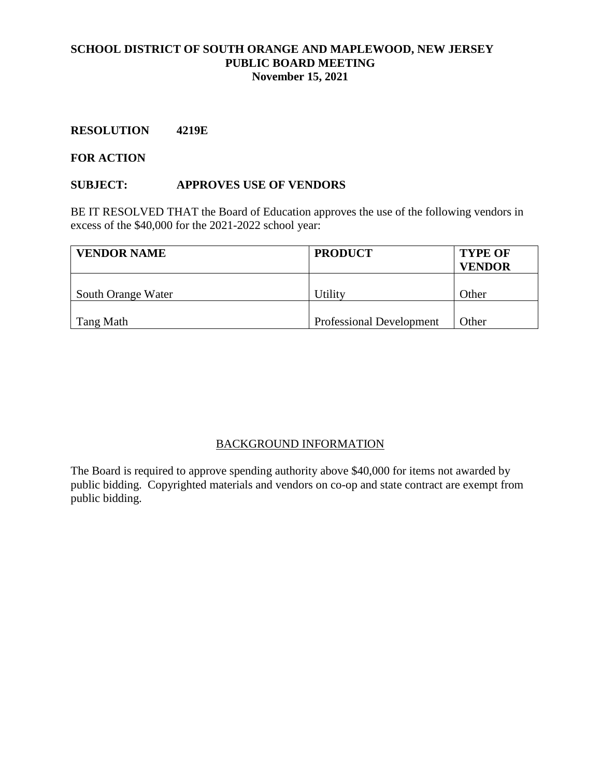### **RESOLUTION 4219E**

#### **FOR ACTION**

### **SUBJECT: APPROVES USE OF VENDORS**

BE IT RESOLVED THAT the Board of Education approves the use of the following vendors in excess of the \$40,000 for the 2021-2022 school year:

| <b>VENDOR NAME</b> | <b>PRODUCT</b>                  | <b>TYPE OF</b><br><b>VENDOR</b> |  |
|--------------------|---------------------------------|---------------------------------|--|
| South Orange Water | Utility                         | Other                           |  |
| Tang Math          | <b>Professional Development</b> | Other                           |  |

# BACKGROUND INFORMATION

The Board is required to approve spending authority above \$40,000 for items not awarded by public bidding. Copyrighted materials and vendors on co-op and state contract are exempt from public bidding.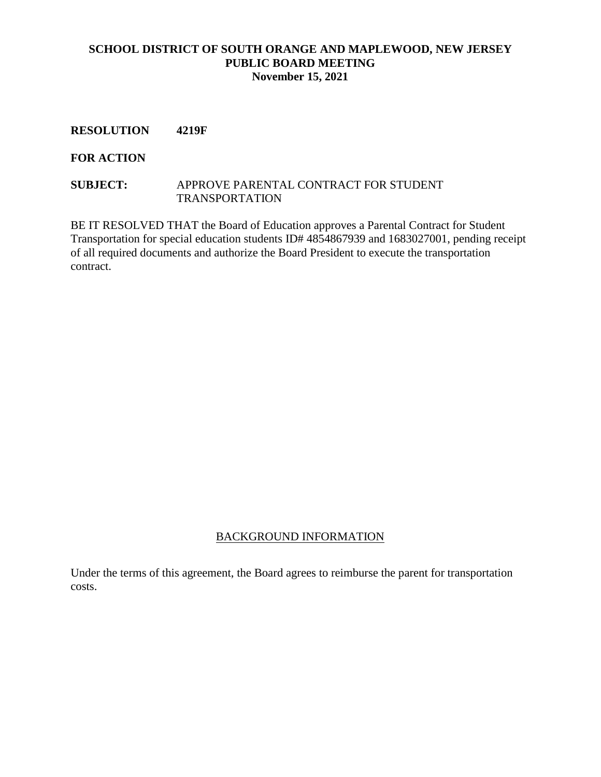#### **RESOLUTION 4219F**

**FOR ACTION** 

#### **SUBJECT:** APPROVE PARENTAL CONTRACT FOR STUDENT TRANSPORTATION

BE IT RESOLVED THAT the Board of Education approves a Parental Contract for Student Transportation for special education students ID# 4854867939 and 1683027001, pending receipt of all required documents and authorize the Board President to execute the transportation contract.

### BACKGROUND INFORMATION

Under the terms of this agreement, the Board agrees to reimburse the parent for transportation costs.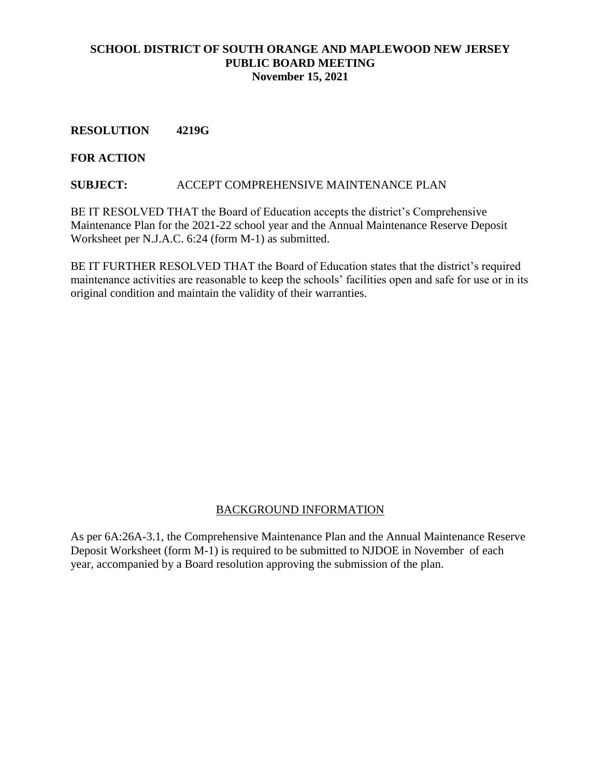**RESOLUTION 4219G**

### **FOR ACTION**

### **SUBJECT:** ACCEPT COMPREHENSIVE MAINTENANCE PLAN

BE IT RESOLVED THAT the Board of Education accepts the district's Comprehensive Maintenance Plan for the 2021-22 school year and the Annual Maintenance Reserve Deposit Worksheet per N.J.A.C. 6:24 (form M-1) as submitted.

BE IT FURTHER RESOLVED THAT the Board of Education states that the district's required maintenance activities are reasonable to keep the schools' facilities open and safe for use or in its original condition and maintain the validity of their warranties.

# BACKGROUND INFORMATION

As per 6A:26A-3.1, the Comprehensive Maintenance Plan and the Annual Maintenance Reserve Deposit Worksheet (form M-1) is required to be submitted to NJDOE in November of each year, accompanied by a Board resolution approving the submission of the plan.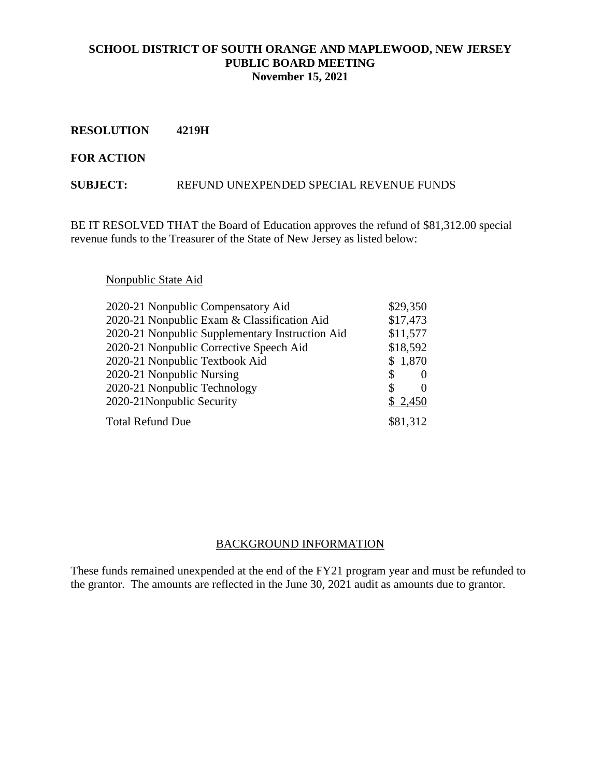**RESOLUTION 4219H**

#### **FOR ACTION**

#### **SUBJECT:** REFUND UNEXPENDED SPECIAL REVENUE FUNDS

BE IT RESOLVED THAT the Board of Education approves the refund of \$81,312.00 special revenue funds to the Treasurer of the State of New Jersey as listed below:

# Nonpublic State Aid

| 2020-21 Nonpublic Compensatory Aid              | \$29,350 |              |
|-------------------------------------------------|----------|--------------|
| 2020-21 Nonpublic Exam & Classification Aid     | \$17,473 |              |
| 2020-21 Nonpublic Supplementary Instruction Aid | \$11,577 |              |
| 2020-21 Nonpublic Corrective Speech Aid         | \$18,592 |              |
| 2020-21 Nonpublic Textbook Aid                  | \$1,870  |              |
| 2020-21 Nonpublic Nursing                       | \$       | $\mathbf{0}$ |
| 2020-21 Nonpublic Technology                    | S        | 0            |
| 2020-21 Nonpublic Security                      | \$2,450  |              |
| <b>Total Refund Due</b>                         | \$81,312 |              |

### BACKGROUND INFORMATION

These funds remained unexpended at the end of the FY21 program year and must be refunded to the grantor. The amounts are reflected in the June 30, 2021 audit as amounts due to grantor.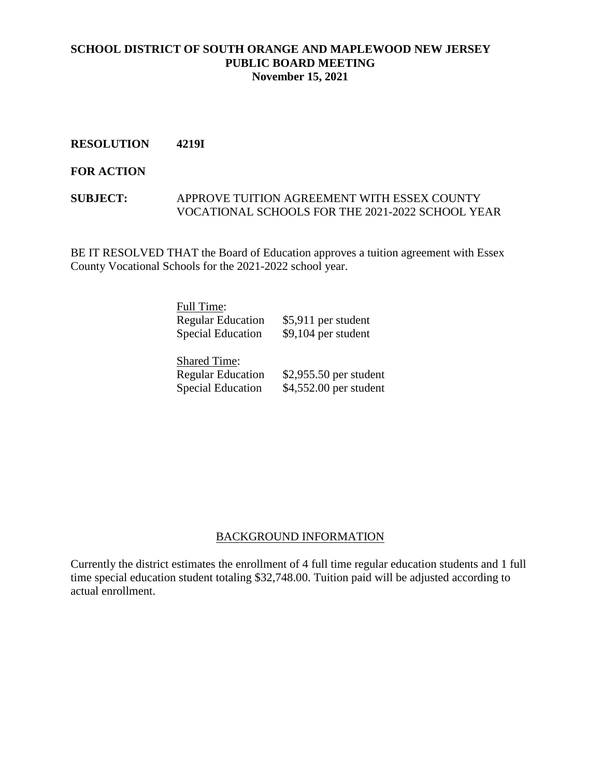### **RESOLUTION 4219I**

#### **FOR ACTION**

#### **SUBJECT:** APPROVE TUITION AGREEMENT WITH ESSEX COUNTY VOCATIONAL SCHOOLS FOR THE 2021-2022 SCHOOL YEAR

BE IT RESOLVED THAT the Board of Education approves a tuition agreement with Essex County Vocational Schools for the 2021-2022 school year.

| Full Time:               |                      |
|--------------------------|----------------------|
| <b>Regular Education</b> | \$5,911 per student  |
| <b>Special Education</b> | $$9,104$ per student |
|                          |                      |
| <b>Shared Time:</b>      |                      |
|                          |                      |

# Regular Education \$2,955.50 per student Special Education \$4,552.00 per student

### BACKGROUND INFORMATION

Currently the district estimates the enrollment of 4 full time regular education students and 1 full time special education student totaling \$32,748.00. Tuition paid will be adjusted according to actual enrollment.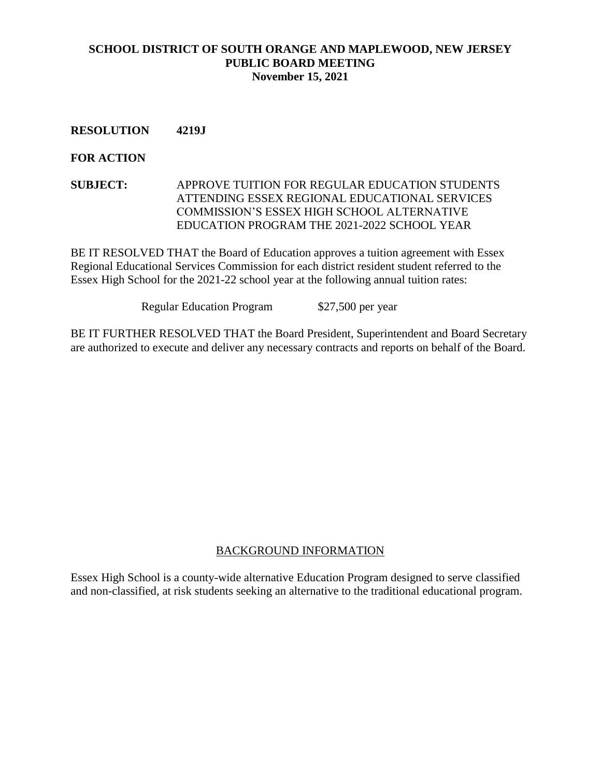# **RESOLUTION 4219J**

### **FOR ACTION**

**SUBJECT:** APPROVE TUITION FOR REGULAR EDUCATION STUDENTS ATTENDING ESSEX REGIONAL EDUCATIONAL SERVICES COMMISSION'S ESSEX HIGH SCHOOL ALTERNATIVE EDUCATION PROGRAM THE 2021-2022 SCHOOL YEAR

BE IT RESOLVED THAT the Board of Education approves a tuition agreement with Essex Regional Educational Services Commission for each district resident student referred to the Essex High School for the 2021-22 school year at the following annual tuition rates:

Regular Education Program \$27,500 per year

BE IT FURTHER RESOLVED THAT the Board President, Superintendent and Board Secretary are authorized to execute and deliver any necessary contracts and reports on behalf of the Board.

### BACKGROUND INFORMATION

Essex High School is a county-wide alternative Education Program designed to serve classified and non-classified, at risk students seeking an alternative to the traditional educational program.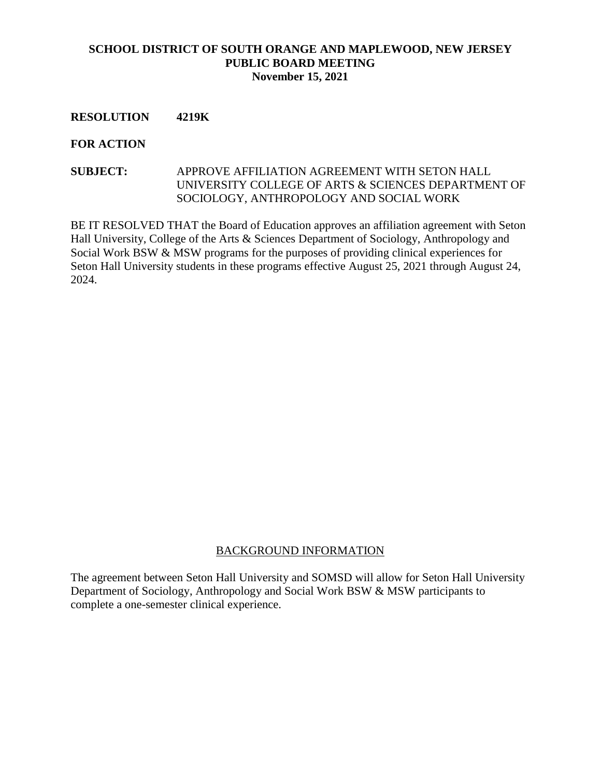### **RESOLUTION 4219K**

#### **FOR ACTION**

# **SUBJECT:** APPROVE AFFILIATION AGREEMENT WITH SETON HALL UNIVERSITY COLLEGE OF ARTS & SCIENCES DEPARTMENT OF SOCIOLOGY, ANTHROPOLOGY AND SOCIAL WORK

BE IT RESOLVED THAT the Board of Education approves an affiliation agreement with Seton Hall University, College of the Arts & Sciences Department of Sociology, Anthropology and Social Work BSW & MSW programs for the purposes of providing clinical experiences for Seton Hall University students in these programs effective August 25, 2021 through August 24, 2024.

# BACKGROUND INFORMATION

The agreement between Seton Hall University and SOMSD will allow for Seton Hall University Department of Sociology, Anthropology and Social Work BSW & MSW participants to complete a one-semester clinical experience.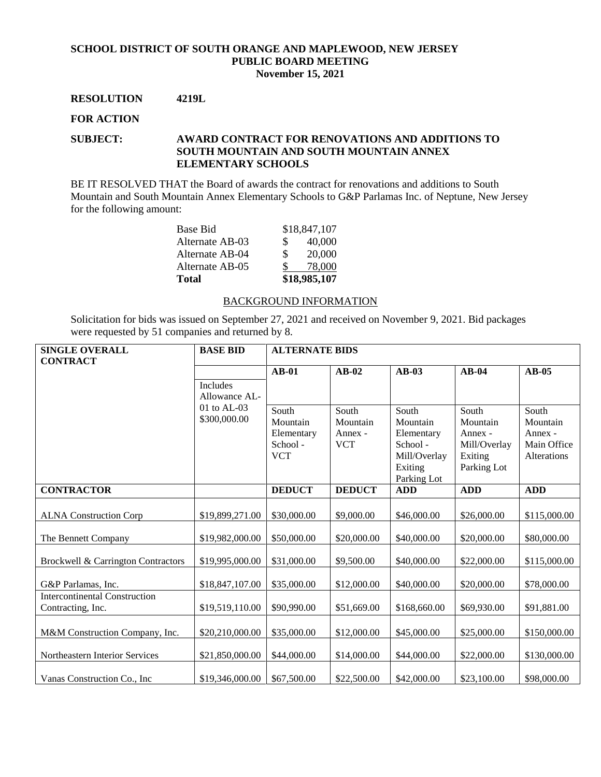#### **RESOLUTION 4219L**

#### **FOR ACTION**

#### **SUBJECT: AWARD CONTRACT FOR RENOVATIONS AND ADDITIONS TO SOUTH MOUNTAIN AND SOUTH MOUNTAIN ANNEX ELEMENTARY SCHOOLS**

BE IT RESOLVED THAT the Board of awards the contract for renovations and additions to South Mountain and South Mountain Annex Elementary Schools to G&P Parlamas Inc. of Neptune, New Jersey for the following amount:

| Base Bid        | \$18,847,107 |
|-----------------|--------------|
| Alternate AB-03 | 40,000<br>S. |
| Alternate AB-04 | 20,000<br>S. |
| Alternate AB-05 | 78,000       |
| Total           | \$18,985,107 |

#### BACKGROUND INFORMATION

Solicitation for bids was issued on September 27, 2021 and received on November 9, 2021. Bid packages were requested by 51 companies and returned by 8.

| <b>SINGLE OVERALL</b>                                     | <b>BASE BID</b>                  | <b>ALTERNATE BIDS</b>                                     |                                            |                                                                                       |                                                                        |                                                            |
|-----------------------------------------------------------|----------------------------------|-----------------------------------------------------------|--------------------------------------------|---------------------------------------------------------------------------------------|------------------------------------------------------------------------|------------------------------------------------------------|
| <b>CONTRACT</b>                                           |                                  |                                                           |                                            |                                                                                       |                                                                        |                                                            |
|                                                           |                                  | $AB-01$                                                   | $AB-02$                                    | $AB-03$                                                                               | $AB-04$                                                                | $AB-05$                                                    |
|                                                           | <b>Includes</b><br>Allowance AL- |                                                           |                                            |                                                                                       |                                                                        |                                                            |
|                                                           | 01 to AL-03<br>\$300,000.00      | South<br>Mountain<br>Elementary<br>School -<br><b>VCT</b> | South<br>Mountain<br>Annex -<br><b>VCT</b> | South<br>Mountain<br>Elementary<br>School -<br>Mill/Overlay<br>Exiting<br>Parking Lot | South<br>Mountain<br>Annex -<br>Mill/Overlay<br>Exiting<br>Parking Lot | South<br>Mountain<br>Annex -<br>Main Office<br>Alterations |
| <b>CONTRACTOR</b>                                         |                                  | <b>DEDUCT</b>                                             | <b>DEDUCT</b>                              | <b>ADD</b>                                                                            | <b>ADD</b>                                                             | <b>ADD</b>                                                 |
| <b>ALNA Construction Corp</b>                             | \$19,899,271.00                  | \$30,000.00                                               | \$9,000.00                                 | \$46,000.00                                                                           | \$26,000.00                                                            | \$115,000.00                                               |
| The Bennett Company                                       | \$19,982,000.00                  | \$50,000.00                                               | \$20,000.00                                | \$40,000.00                                                                           | \$20,000.00                                                            | \$80,000.00                                                |
| Brockwell & Carrington Contractors                        | \$19,995,000.00                  | \$31,000.00                                               | \$9,500.00                                 | \$40,000.00                                                                           | \$22,000.00                                                            | \$115,000.00                                               |
| G&P Parlamas, Inc.                                        | \$18,847,107.00                  | \$35,000.00                                               | \$12,000.00                                | \$40,000.00                                                                           | \$20,000.00                                                            | \$78,000.00                                                |
| <b>Intercontinental Construction</b><br>Contracting, Inc. | \$19,519,110.00                  | \$90,990.00                                               | \$51,669.00                                | \$168,660.00                                                                          | \$69,930.00                                                            | \$91,881.00                                                |
| M&M Construction Company, Inc.                            | \$20,210,000.00                  | \$35,000.00                                               | \$12,000.00                                | \$45,000.00                                                                           | \$25,000.00                                                            | \$150,000.00                                               |
| Northeastern Interior Services                            | \$21,850,000.00                  | \$44,000.00                                               | \$14,000.00                                | \$44,000.00                                                                           | \$22,000.00                                                            | \$130,000.00                                               |
| Vanas Construction Co., Inc.                              | \$19,346,000.00                  | \$67,500.00                                               | \$22,500.00                                | \$42,000.00                                                                           | \$23,100.00                                                            | \$98,000.00                                                |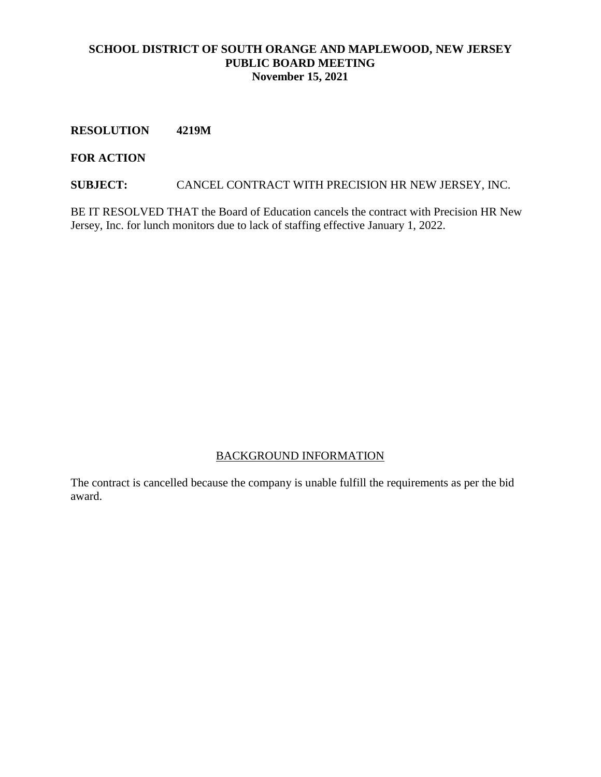**RESOLUTION 4219M**

### **FOR ACTION**

**SUBJECT:** CANCEL CONTRACT WITH PRECISION HR NEW JERSEY, INC.

BE IT RESOLVED THAT the Board of Education cancels the contract with Precision HR New Jersey, Inc. for lunch monitors due to lack of staffing effective January 1, 2022.

# BACKGROUND INFORMATION

The contract is cancelled because the company is unable fulfill the requirements as per the bid award.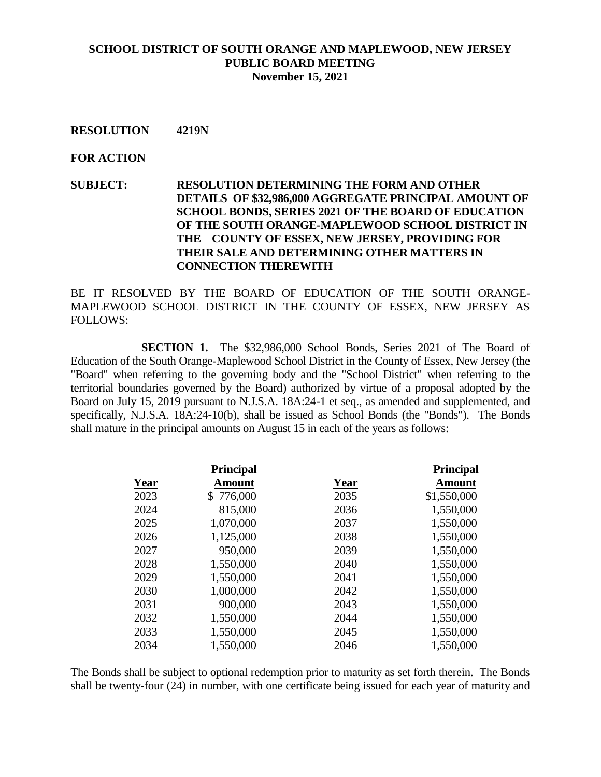#### **RESOLUTION 4219N**

#### **FOR ACTION**

# **SUBJECT: RESOLUTION DETERMINING THE FORM AND OTHER DETAILS OF \$32,986,000 AGGREGATE PRINCIPAL AMOUNT OF SCHOOL BONDS, SERIES 2021 OF THE BOARD OF EDUCATION OF THE SOUTH ORANGE-MAPLEWOOD SCHOOL DISTRICT IN THE COUNTY OF ESSEX, NEW JERSEY, PROVIDING FOR THEIR SALE AND DETERMINING OTHER MATTERS IN CONNECTION THEREWITH**

BE IT RESOLVED BY THE BOARD OF EDUCATION OF THE SOUTH ORANGE-MAPLEWOOD SCHOOL DISTRICT IN THE COUNTY OF ESSEX, NEW JERSEY AS FOLLOWS:

**SECTION 1.** The \$32,986,000 School Bonds, Series 2021 of The Board of Education of the South Orange-Maplewood School District in the County of Essex, New Jersey (the "Board" when referring to the governing body and the "School District" when referring to the territorial boundaries governed by the Board) authorized by virtue of a proposal adopted by the Board on July 15, 2019 pursuant to N.J.S.A. 18A:24-1 et seq., as amended and supplemented, and specifically, N.J.S.A. 18A:24-10(b), shall be issued as School Bonds (the "Bonds"). The Bonds shall mature in the principal amounts on August 15 in each of the years as follows:

|      | <b>Principal</b> |             | <b>Principal</b> |
|------|------------------|-------------|------------------|
| Year | Amount           | <b>Year</b> | <b>Amount</b>    |
| 2023 | \$776,000        | 2035        | \$1,550,000      |
| 2024 | 815,000          | 2036        | 1,550,000        |
| 2025 | 1,070,000        | 2037        | 1,550,000        |
| 2026 | 1,125,000        | 2038        | 1,550,000        |
| 2027 | 950,000          | 2039        | 1,550,000        |
| 2028 | 1,550,000        | 2040        | 1,550,000        |
| 2029 | 1,550,000        | 2041        | 1,550,000        |
| 2030 | 1,000,000        | 2042        | 1,550,000        |
| 2031 | 900,000          | 2043        | 1,550,000        |
| 2032 | 1,550,000        | 2044        | 1,550,000        |
| 2033 | 1,550,000        | 2045        | 1,550,000        |
| 2034 | 1,550,000        | 2046        | 1,550,000        |

The Bonds shall be subject to optional redemption prior to maturity as set forth therein. The Bonds shall be twenty-four (24) in number, with one certificate being issued for each year of maturity and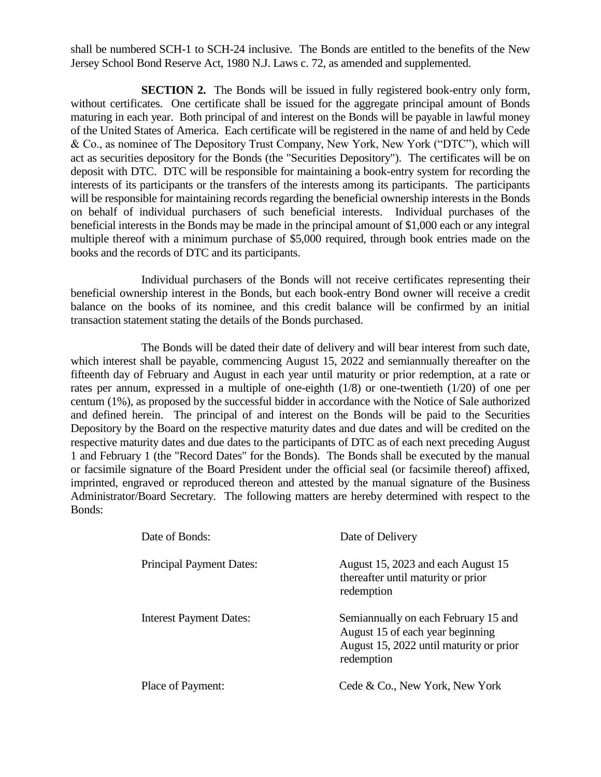shall be numbered SCH-1 to SCH-24 inclusive. The Bonds are entitled to the benefits of the New Jersey School Bond Reserve Act, 1980 N.J. Laws c. 72, as amended and supplemented.

**SECTION 2.** The Bonds will be issued in fully registered book-entry only form, without certificates. One certificate shall be issued for the aggregate principal amount of Bonds maturing in each year. Both principal of and interest on the Bonds will be payable in lawful money of the United States of America. Each certificate will be registered in the name of and held by Cede & Co., as nominee of The Depository Trust Company, New York, New York ("DTC"), which will act as securities depository for the Bonds (the "Securities Depository"). The certificates will be on deposit with DTC. DTC will be responsible for maintaining a book-entry system for recording the interests of its participants or the transfers of the interests among its participants. The participants will be responsible for maintaining records regarding the beneficial ownership interests in the Bonds on behalf of individual purchasers of such beneficial interests. Individual purchases of the beneficial interests in the Bonds may be made in the principal amount of \$1,000 each or any integral multiple thereof with a minimum purchase of \$5,000 required, through book entries made on the books and the records of DTC and its participants.

Individual purchasers of the Bonds will not receive certificates representing their beneficial ownership interest in the Bonds, but each book-entry Bond owner will receive a credit balance on the books of its nominee, and this credit balance will be confirmed by an initial transaction statement stating the details of the Bonds purchased.

The Bonds will be dated their date of delivery and will bear interest from such date, which interest shall be payable, commencing August 15, 2022 and semiannually thereafter on the fifteenth day of February and August in each year until maturity or prior redemption, at a rate or rates per annum, expressed in a multiple of one-eighth (1/8) or one-twentieth (1/20) of one per centum (1%), as proposed by the successful bidder in accordance with the Notice of Sale authorized and defined herein. The principal of and interest on the Bonds will be paid to the Securities Depository by the Board on the respective maturity dates and due dates and will be credited on the respective maturity dates and due dates to the participants of DTC as of each next preceding August 1 and February 1 (the "Record Dates" for the Bonds). The Bonds shall be executed by the manual or facsimile signature of the Board President under the official seal (or facsimile thereof) affixed, imprinted, engraved or reproduced thereon and attested by the manual signature of the Business Administrator/Board Secretary. The following matters are hereby determined with respect to the Bonds:

| Date of Bonds:                  | Date of Delivery                                                                                                                  |
|---------------------------------|-----------------------------------------------------------------------------------------------------------------------------------|
| <b>Principal Payment Dates:</b> | August 15, 2023 and each August 15<br>thereafter until maturity or prior<br>redemption                                            |
| <b>Interest Payment Dates:</b>  | Semiannually on each February 15 and<br>August 15 of each year beginning<br>August 15, 2022 until maturity or prior<br>redemption |
| Place of Payment:               | Cede & Co., New York, New York                                                                                                    |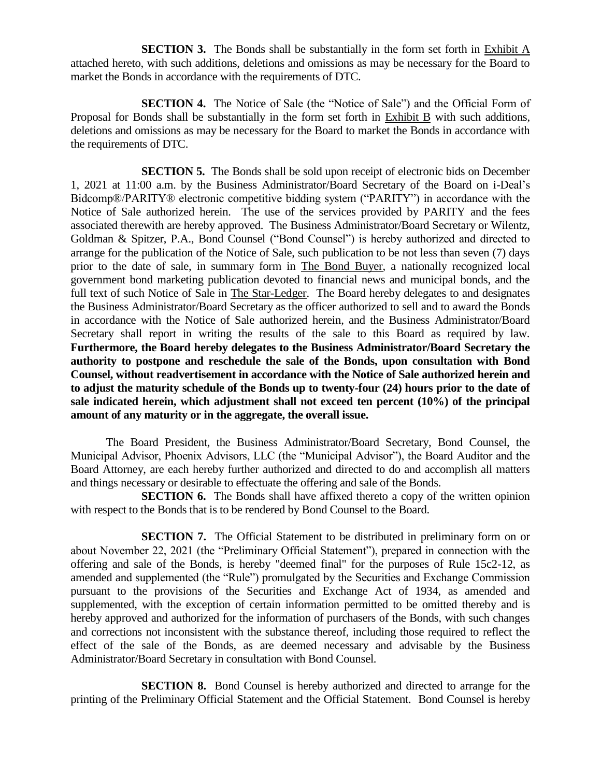**SECTION 3.** The Bonds shall be substantially in the form set forth in Exhibit A attached hereto, with such additions, deletions and omissions as may be necessary for the Board to market the Bonds in accordance with the requirements of DTC.

**SECTION 4.** The Notice of Sale (the "Notice of Sale") and the Official Form of Proposal for Bonds shall be substantially in the form set forth in Exhibit B with such additions, deletions and omissions as may be necessary for the Board to market the Bonds in accordance with the requirements of DTC.

**SECTION 5.** The Bonds shall be sold upon receipt of electronic bids on December 1, 2021 at 11:00 a.m. by the Business Administrator/Board Secretary of the Board on i-Deal's Bidcomp®/PARITY® electronic competitive bidding system ("PARITY") in accordance with the Notice of Sale authorized herein. The use of the services provided by PARITY and the fees associated therewith are hereby approved. The Business Administrator/Board Secretary or Wilentz, Goldman & Spitzer, P.A., Bond Counsel ("Bond Counsel") is hereby authorized and directed to arrange for the publication of the Notice of Sale, such publication to be not less than seven (7) days prior to the date of sale, in summary form in The Bond Buyer, a nationally recognized local government bond marketing publication devoted to financial news and municipal bonds, and the full text of such Notice of Sale in The Star-Ledger. The Board hereby delegates to and designates the Business Administrator/Board Secretary as the officer authorized to sell and to award the Bonds in accordance with the Notice of Sale authorized herein, and the Business Administrator/Board Secretary shall report in writing the results of the sale to this Board as required by law. **Furthermore, the Board hereby delegates to the Business Administrator/Board Secretary the authority to postpone and reschedule the sale of the Bonds, upon consultation with Bond Counsel, without readvertisement in accordance with the Notice of Sale authorized herein and to adjust the maturity schedule of the Bonds up to twenty-four (24) hours prior to the date of sale indicated herein, which adjustment shall not exceed ten percent (10%) of the principal amount of any maturity or in the aggregate, the overall issue.**

The Board President, the Business Administrator/Board Secretary, Bond Counsel, the Municipal Advisor, Phoenix Advisors, LLC (the "Municipal Advisor"), the Board Auditor and the Board Attorney, are each hereby further authorized and directed to do and accomplish all matters and things necessary or desirable to effectuate the offering and sale of the Bonds.

**SECTION 6.** The Bonds shall have affixed thereto a copy of the written opinion with respect to the Bonds that is to be rendered by Bond Counsel to the Board.

**SECTION 7.** The Official Statement to be distributed in preliminary form on or about November 22, 2021 (the "Preliminary Official Statement"), prepared in connection with the offering and sale of the Bonds, is hereby "deemed final" for the purposes of Rule 15c2-12, as amended and supplemented (the "Rule") promulgated by the Securities and Exchange Commission pursuant to the provisions of the Securities and Exchange Act of 1934, as amended and supplemented, with the exception of certain information permitted to be omitted thereby and is hereby approved and authorized for the information of purchasers of the Bonds, with such changes and corrections not inconsistent with the substance thereof, including those required to reflect the effect of the sale of the Bonds, as are deemed necessary and advisable by the Business Administrator/Board Secretary in consultation with Bond Counsel.

**SECTION 8.** Bond Counsel is hereby authorized and directed to arrange for the printing of the Preliminary Official Statement and the Official Statement. Bond Counsel is hereby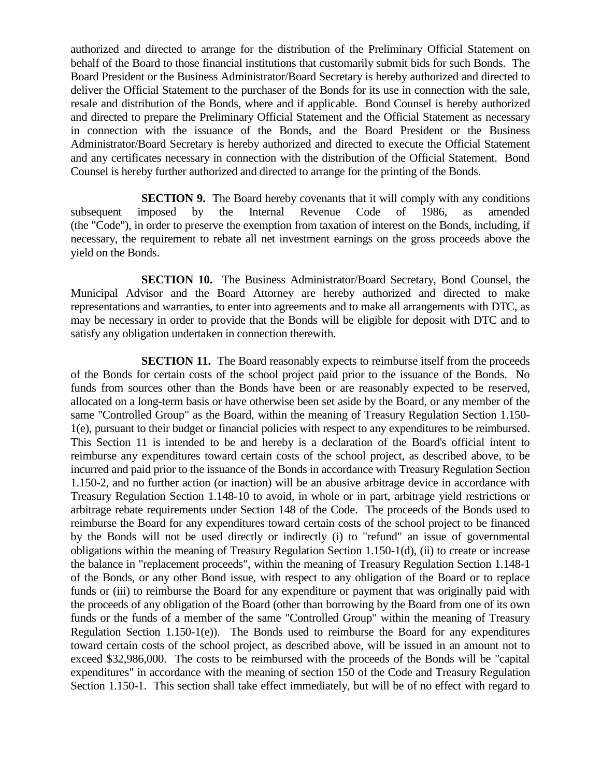authorized and directed to arrange for the distribution of the Preliminary Official Statement on behalf of the Board to those financial institutions that customarily submit bids for such Bonds. The Board President or the Business Administrator/Board Secretary is hereby authorized and directed to deliver the Official Statement to the purchaser of the Bonds for its use in connection with the sale, resale and distribution of the Bonds, where and if applicable. Bond Counsel is hereby authorized and directed to prepare the Preliminary Official Statement and the Official Statement as necessary in connection with the issuance of the Bonds, and the Board President or the Business Administrator/Board Secretary is hereby authorized and directed to execute the Official Statement and any certificates necessary in connection with the distribution of the Official Statement. Bond Counsel is hereby further authorized and directed to arrange for the printing of the Bonds.

**SECTION 9.** The Board hereby covenants that it will comply with any conditions subsequent imposed by the Internal Revenue Code of 1986, as amended (the "Code"), in order to preserve the exemption from taxation of interest on the Bonds, including, if necessary, the requirement to rebate all net investment earnings on the gross proceeds above the yield on the Bonds.

**SECTION 10.** The Business Administrator/Board Secretary, Bond Counsel, the Municipal Advisor and the Board Attorney are hereby authorized and directed to make representations and warranties, to enter into agreements and to make all arrangements with DTC, as may be necessary in order to provide that the Bonds will be eligible for deposit with DTC and to satisfy any obligation undertaken in connection therewith.

**SECTION 11.** The Board reasonably expects to reimburse itself from the proceeds of the Bonds for certain costs of the school project paid prior to the issuance of the Bonds. No funds from sources other than the Bonds have been or are reasonably expected to be reserved, allocated on a long-term basis or have otherwise been set aside by the Board, or any member of the same "Controlled Group" as the Board, within the meaning of Treasury Regulation Section 1.150- 1(e), pursuant to their budget or financial policies with respect to any expenditures to be reimbursed. This Section 11 is intended to be and hereby is a declaration of the Board's official intent to reimburse any expenditures toward certain costs of the school project, as described above, to be incurred and paid prior to the issuance of the Bonds in accordance with Treasury Regulation Section 1.150-2, and no further action (or inaction) will be an abusive arbitrage device in accordance with Treasury Regulation Section 1.148-10 to avoid, in whole or in part, arbitrage yield restrictions or arbitrage rebate requirements under Section 148 of the Code. The proceeds of the Bonds used to reimburse the Board for any expenditures toward certain costs of the school project to be financed by the Bonds will not be used directly or indirectly (i) to "refund" an issue of governmental obligations within the meaning of Treasury Regulation Section 1.150-1(d), (ii) to create or increase the balance in "replacement proceeds", within the meaning of Treasury Regulation Section 1.148-1 of the Bonds, or any other Bond issue, with respect to any obligation of the Board or to replace funds or (iii) to reimburse the Board for any expenditure or payment that was originally paid with the proceeds of any obligation of the Board (other than borrowing by the Board from one of its own funds or the funds of a member of the same "Controlled Group" within the meaning of Treasury Regulation Section 1.150-1(e)). The Bonds used to reimburse the Board for any expenditures toward certain costs of the school project, as described above, will be issued in an amount not to exceed \$32,986,000. The costs to be reimbursed with the proceeds of the Bonds will be "capital expenditures" in accordance with the meaning of section 150 of the Code and Treasury Regulation Section 1.150-1. This section shall take effect immediately, but will be of no effect with regard to